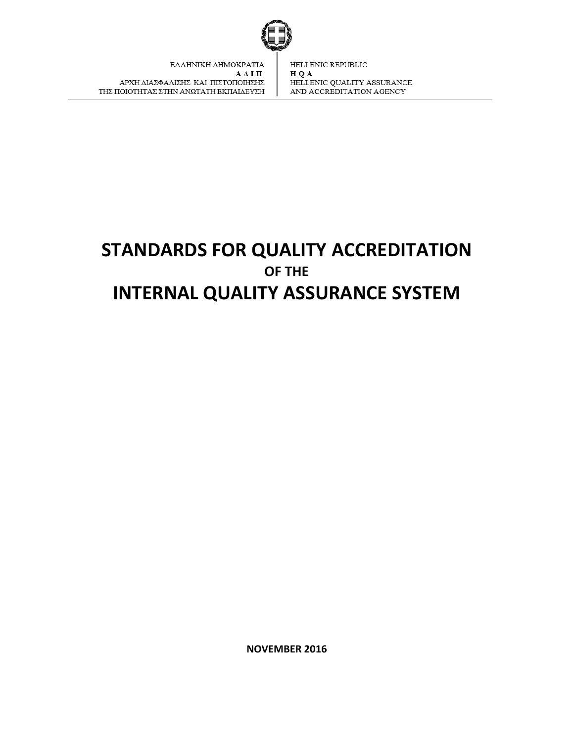

ΕΛΛΗΝΙΚΗ ΔΗΜΟΚΡΑΤΙΑ ААІП ΑΡΧΗ ΔΙΑΣΦΑΛΙΣΗΣ ΚΑΙ ΠΙΣΤΟΠΟΙΗΣΗΣ ΤΗΣ ΠΟΙΟΤΗΤΑΣ ΣΤΗΝ ΑΝΩΤΑΤΗ ΕΚΠΑΙΔΕΥΣΗ

HELLENIC REPUBLIC H Q A HELLENIC QUALITY ASSURANCE AND ACCREDITATION AGENCY

# **STANDARDS FOR QUALITY ACCREDITATION OF THE INTERNAL QUALITY ASSURANCE SYSTEM**

**NOVEMBER 2016**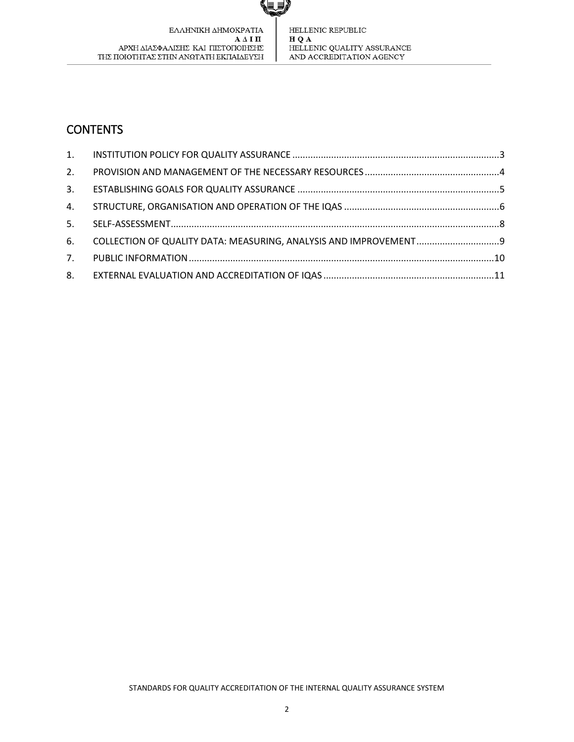ΕΛΛΗΝΙΚΗ ΔΗΜΟΚΡΑΤΙΑ  ${\bf A}$   $\Delta$  I  ${\bf \Pi}$ ΑΡΧΗ ΔΙΑΣΦΑΛΙΣΗΣ ΚΑΙ ΠΙΣΤΟΠΟΙΗΣΗΣ ΤΗΣ ΠΟΙΟΤΗΤΑΣ ΣΤΗΝ ΑΝΩΤΑΤΗ ΕΚΠΑΙΔΕΥΣΗ HELLENIC REPUBLIC  $\bf H$ Q $\bf A$ HELLENIC QUALITY ASSURANCE  $\!$  AND ACCREDITATION AGENCY

## **CONTENTS**

| 2.             |  |
|----------------|--|
| 3.             |  |
| 4.             |  |
| 5.             |  |
| 6.             |  |
| 7 <sub>1</sub> |  |
| 8.             |  |

W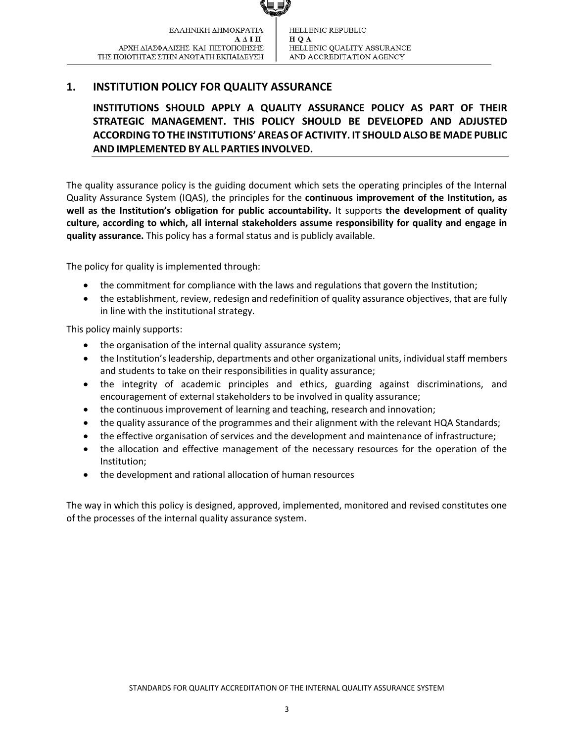## <span id="page-2-0"></span>**1. INSTITUTION POLICY FOR QUALITY ASSURANCE**

**INSTITUTIONS SHOULD APPLY A QUALITY ASSURANCE POLICY AS PART OF THEIR STRATEGIC MANAGEMENT. THIS POLICY SHOULD BE DEVELOPED AND ADJUSTED ACCORDINGTOTHE INSTITUTIONS' AREASOFACTIVITY. IT SHOULD ALSOBE MADE PUBLIC AND IMPLEMENTED BY ALL PARTIES INVOLVED.**

The quality assurance policy is the guiding document which sets the operating principles of the Internal Quality Assurance System (IQAS), the principles for the **continuous improvement of the Institution, as well as the Institution's obligation for public accountability.** It supports **the development of quality culture, according to which, all internal stakeholders assume responsibility for quality and engage in quality assurance.** This policy has a formal status and is publicly available.

The policy for quality is implemented through:

- the commitment for compliance with the laws and regulations that govern the Institution;
- the establishment, review, redesign and redefinition of quality assurance objectives, that are fully in line with the institutional strategy.

This policy mainly supports:

- the organisation of the internal quality assurance system;
- the Institution's leadership, departments and other organizational units, individual staff members and students to take on their responsibilities in quality assurance;
- the integrity of academic principles and ethics, guarding against discriminations, and encouragement of external stakeholders to be involved in quality assurance;
- the continuous improvement of learning and teaching, research and innovation;
- the quality assurance of the programmes and their alignment with the relevant HQA Standards;
- the effective organisation of services and the development and maintenance of infrastructure;
- the allocation and effective management of the necessary resources for the operation of the Institution;
- the development and rational allocation of human resources

The way in which this policy is designed, approved, implemented, monitored and revised constitutes one of the processes of the internal quality assurance system.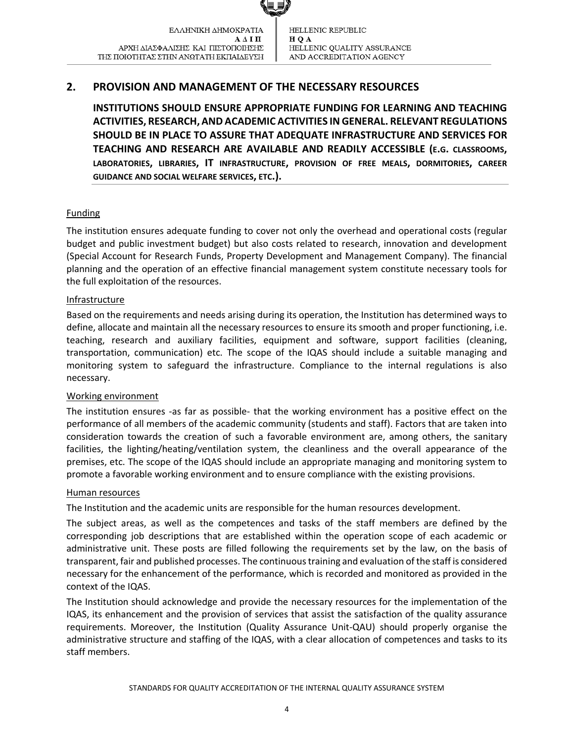## <span id="page-3-0"></span>**2. PROVISION AND MANAGEMENT OF THE NECESSARY RESOURCES**

**INSTITUTIONS SHOULD ENSURE APPROPRIATE FUNDING FOR LEARNING AND TEACHING ACTIVITIES, RESEARCH, AND ACADEMIC ACTIVITIES INGENERAL. RELEVANT REGULATIONS SHOULD BE IN PLACE TO ASSURE THAT ADEQUATE INFRASTRUCTURE AND SERVICES FOR TEACHING AND RESEARCH ARE AVAILABLE AND READILY ACCESSIBLE (E.G. CLASSROOMS, LABORATORIES, LIBRARIES, IT INFRASTRUCTURE, PROVISION OF FREE MEALS, DORMITORIES, CAREER GUIDANCE AND SOCIAL WELFARE SERVICES, ETC.).**

#### Funding

The institution ensures adequate funding to cover not only the overhead and operational costs (regular budget and public investment budget) but also costs related to research, innovation and development (Special Account for Research Funds, Property Development and Management Company). The financial planning and the operation of an effective financial management system constitute necessary tools for the full exploitation of the resources.

#### **Infrastructure**

Based on the requirements and needs arising during its operation, the Institution has determined ways to define, allocate and maintain all the necessary resources to ensure its smooth and proper functioning, i.e. teaching, research and auxiliary facilities, equipment and software, support facilities (cleaning, transportation, communication) etc. The scope of the IQAS should include a suitable managing and monitoring system to safeguard the infrastructure. Compliance to the internal regulations is also necessary.

#### Working environment

The institution ensures -as far as possible- that the working environment has a positive effect on the performance of all members of the academic community (students and staff). Factors that are taken into consideration towards the creation of such a favorable environment are, among others, the sanitary facilities, the lighting/heating/ventilation system, the cleanliness and the overall appearance of the premises, etc. The scope of the IQAS should include an appropriate managing and monitoring system to promote a favorable working environment and to ensure compliance with the existing provisions.

#### Human resources

The Institution and the academic units are responsible for the human resources development.

The subject areas, as well as the competences and tasks of the staff members are defined by the corresponding job descriptions that are established within the operation scope of each academic or administrative unit. These posts are filled following the requirements set by the law, on the basis of transparent, fair and published processes. The continuous training and evaluation of the staff is considered necessary for the enhancement of the performance, which is recorded and monitored as provided in the context of the IQAS.

The Institution should acknowledge and provide the necessary resources for the implementation of the IQAS, its enhancement and the provision of services that assist the satisfaction of the quality assurance requirements. Moreover, the Institution (Quality Assurance Unit-QAU) should properly organise the administrative structure and staffing of the IQAS, with a clear allocation of competences and tasks to its staff members.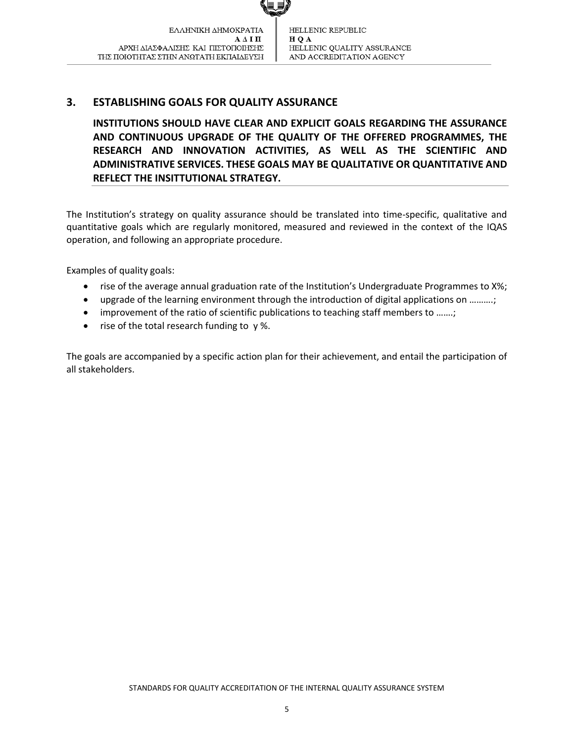## <span id="page-4-0"></span>**3. ESTABLISHING GOALS FOR QUALITY ASSURANCE**

**INSTITUTIONS SHOULD HAVE CLEAR AND EXPLICIT GOALS REGARDING THE ASSURANCE AND CONTINUOUS UPGRADE OF THE QUALITY OF THE OFFERED PROGRAMMES, THE RESEARCH AND INNOVATION ACTIVITIES, AS WELL AS THE SCIENTIFIC AND ADMINISTRATIVE SERVICES. THESE GOALS MAY BE QUALITATIVE OR QUANTITATIVE AND REFLECT THE INSITTUTIONAL STRATEGY.**

The Institution's strategy on quality assurance should be translated into time-specific, qualitative and quantitative goals which are regularly monitored, measured and reviewed in the context of the IQAS operation, and following an appropriate procedure.

Examples of quality goals:

- rise of the average annual graduation rate of the Institution's Undergraduate Programmes to X%;
- upgrade of the learning environment through the introduction of digital applications on ……….;
- improvement of the ratio of scientific publications to teaching staff members to .......;
- $\bullet$  rise of the total research funding to  $\gamma$ %.

The goals are accompanied by a specific action plan for their achievement, and entail the participation of all stakeholders.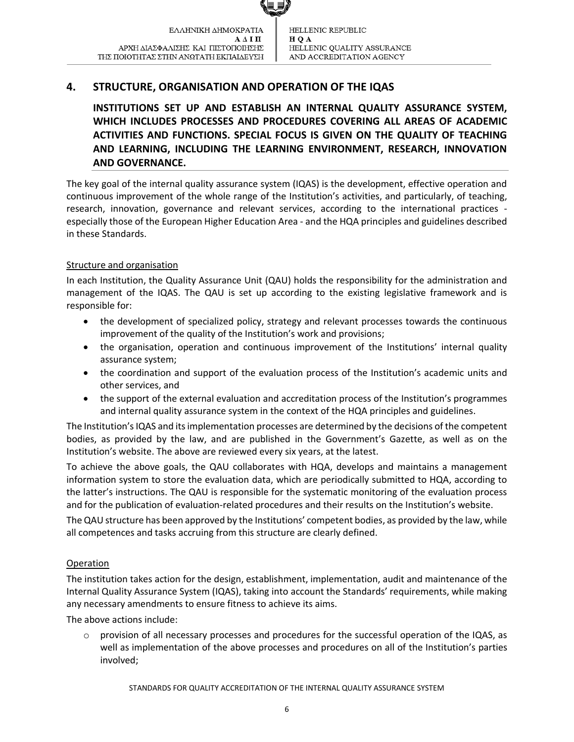## <span id="page-5-0"></span>**4. STRUCTURE, ORGANISATION AND OPERATION OF THE IQAS**

**INSTITUTIONS SET UP AND ESTABLISH AN INTERNAL QUALITY ASSURANCE SYSTEM, WHICH INCLUDES PROCESSES AND PROCEDURES COVERING ALL AREAS OF ACADEMIC ACTIVITIES AND FUNCTIONS. SPECIAL FOCUS IS GIVEN ON THE QUALITY OF TEACHING AND LEARNING, INCLUDING THE LEARNING ENVIRONMENT, RESEARCH, INNOVATION AND GOVERNANCE.**

The key goal of the internal quality assurance system (IQAS) is the development, effective operation and continuous improvement of the whole range of the Institution's activities, and particularly, of teaching, research, innovation, governance and relevant services, according to the international practices especially those of the European Higher Education Area - and the HQA principles and guidelines described in these Standards.

#### Structure and organisation

In each Institution, the Quality Assurance Unit (QAU) holds the responsibility for the administration and management of the IQAS. The QAU is set up according to the existing legislative framework and is responsible for:

- the development of specialized policy, strategy and relevant processes towards the continuous improvement of the quality of the Institution's work and provisions;
- the organisation, operation and continuous improvement of the Institutions' internal quality assurance system;
- the coordination and support of the evaluation process of the Institution's academic units and other services, and
- the support of the external evaluation and accreditation process of the Institution's programmes and internal quality assurance system in the context of the HQA principles and guidelines.

The Institution's IQAS and its implementation processes are determined by the decisions of the competent bodies, as provided by the law, and are published in the Government's Gazette, as well as on the Institution's website. The above are reviewed every six years, at the latest.

To achieve the above goals, the QAU collaborates with HQA, develops and maintains a management information system to store the evaluation data, which are periodically submitted to HQA, according to the latter's instructions. The QAU is responsible for the systematic monitoring of the evaluation process and for the publication of evaluation-related procedures and their results on the Institution's website.

The QAU structure has been approved by the Institutions' competent bodies, as provided by the law, while all competences and tasks accruing from this structure are clearly defined.

#### Operation

The institution takes action for the design, establishment, implementation, audit and maintenance of the Internal Quality Assurance System (IQAS), taking into account the Standards' requirements, while making any necessary amendments to ensure fitness to achieve its aims.

The above actions include:

 $\circ$  provision of all necessary processes and procedures for the successful operation of the IQAS, as well as implementation of the above processes and procedures on all of the Institution's parties involved;

STANDARDS FOR QUALITY ACCREDITATION OF THE INTERNAL QUALITY ASSURANCE SYSTEM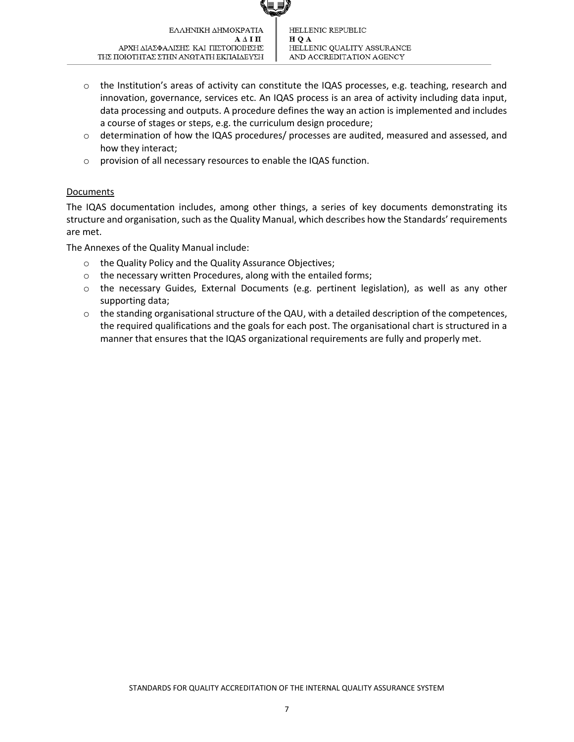- o the Institution's areas of activity can constitute the IQAS processes, e.g. teaching, research and innovation, governance, services etc. An IQAS process is an area of activity including data input, data processing and outputs. A procedure defines the way an action is implemented and includes a course of stages or steps, e.g. the curriculum design procedure;
- o determination of how the IQAS procedures/ processes are audited, measured and assessed, and how they interact;
- o provision of all necessary resources to enable the IQAS function.

#### Documents

The IQAS documentation includes, among other things, a series of key documents demonstrating its structure and organisation, such as the Quality Manual, which describes how the Standards' requirements are met.

The Annexes of the Quality Manual include:

- o the Quality Policy and the Quality Assurance Objectives;
- o the necessary written Procedures, along with the entailed forms;
- o the necessary Guides, External Documents (e.g. pertinent legislation), as well as any other supporting data;
- o the standing organisational structure of the QAU, with a detailed description of the competences, the required qualifications and the goals for each post. The organisational chart is structured in a manner that ensures that the IQAS organizational requirements are fully and properly met.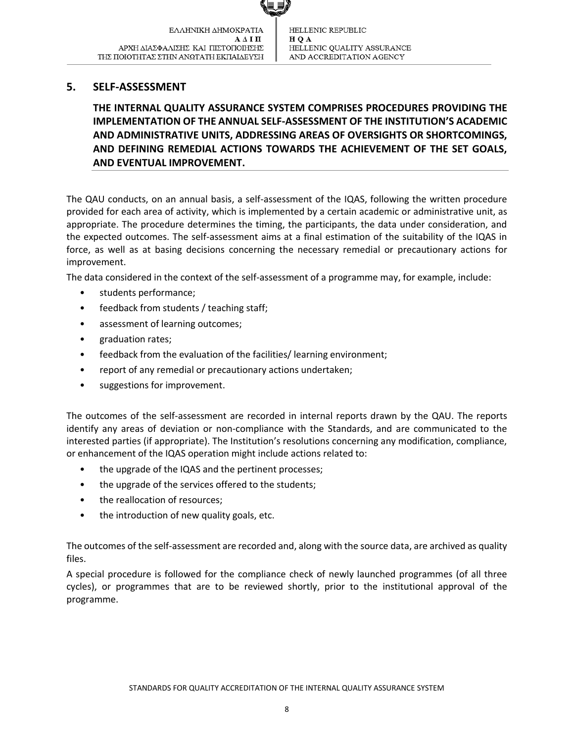#### <span id="page-7-0"></span>**5. SELF-ASSESSMENT**

**THE INTERNAL QUALITY ASSURANCE SYSTEM COMPRISES PROCEDURES PROVIDING THE IMPLEMENTATION OF THE ANNUAL SELF-ASSESSMENT OF THE INSTITUTION'S ACADEMIC AND ADMINISTRATIVE UNITS, ADDRESSING AREAS OF OVERSIGHTS OR SHORTCOMINGS, AND DEFINING REMEDIAL ACTIONS TOWARDS THE ACHIEVEMENT OF THE SET GOALS, AND EVENTUAL IMPROVEMENT.**

The QAU conducts, on an annual basis, a self-assessment of the IQAS, following the written procedure provided for each area of activity, which is implemented by a certain academic or administrative unit, as appropriate. The procedure determines the timing, the participants, the data under consideration, and the expected outcomes. The self-assessment aims at a final estimation of the suitability of the IQAS in force, as well as at basing decisions concerning the necessary remedial or precautionary actions for improvement.

The data considered in the context of the self-assessment of a programme may, for example, include:

- students performance;
- feedback from students / teaching staff;
- assessment of learning outcomes;
- graduation rates;
- feedback from the evaluation of the facilities/ learning environment;
- report of any remedial or precautionary actions undertaken;
- suggestions for improvement.

The outcomes of the self-assessment are recorded in internal reports drawn by the QAU. The reports identify any areas of deviation or non-compliance with the Standards, and are communicated to the interested parties (if appropriate). The Institution's resolutions concerning any modification, compliance, or enhancement of the IQAS operation might include actions related to:

- the upgrade of the IQAS and the pertinent processes;
- the upgrade of the services offered to the students;
- the reallocation of resources;
- the introduction of new quality goals, etc.

The outcomes of the self-assessment are recorded and, along with the source data, are archived as quality files.

A special procedure is followed for the compliance check of newly launched programmes (of all three cycles), or programmes that are to be reviewed shortly, prior to the institutional approval of the programme.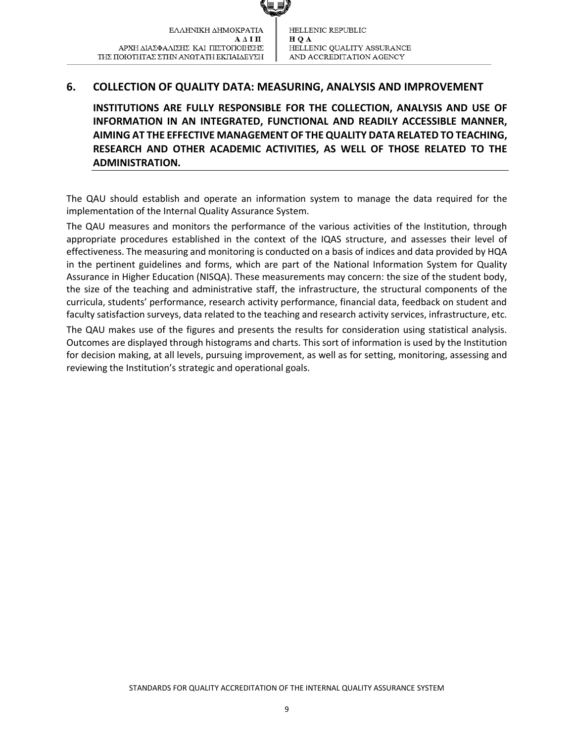## <span id="page-8-0"></span>**6. COLLECTION OF QUALITY DATA: MEASURING, ANALYSIS AND IMPROVEMENT**

**INSTITUTIONS ARE FULLY RESPONSIBLE FOR THE COLLECTION, ANALYSIS AND USE OF INFORMATION IN AN INTEGRATED, FUNCTIONAL AND READILY ACCESSIBLE MANNER, AIMING AT THE EFFECTIVE MANAGEMENT OF THE QUALITY DATA RELATED TO TEACHING, RESEARCH AND OTHER ACADEMIC ACTIVITIES, AS WELL OF THOSE RELATED TO THE ADMINISTRATION.**

The QAU should establish and operate an information system to manage the data required for the implementation of the Internal Quality Assurance System.

The QAU measures and monitors the performance of the various activities of the Institution, through appropriate procedures established in the context of the IQAS structure, and assesses their level of effectiveness. The measuring and monitoring is conducted on a basis of indices and data provided by HQA in the pertinent guidelines and forms, which are part of the National Information System for Quality Assurance in Higher Education (NISQA). These measurements may concern: the size of the student body, the size of the teaching and administrative staff, the infrastructure, the structural components of the curricula, students' performance, research activity performance, financial data, feedback on student and faculty satisfaction surveys, data related to the teaching and research activity services, infrastructure, etc. The QAU makes use of the figures and presents the results for consideration using statistical analysis. Outcomes are displayed through histograms and charts. This sort of information is used by the Institution for decision making, at all levels, pursuing improvement, as well as for setting, monitoring, assessing and reviewing the Institution's strategic and operational goals.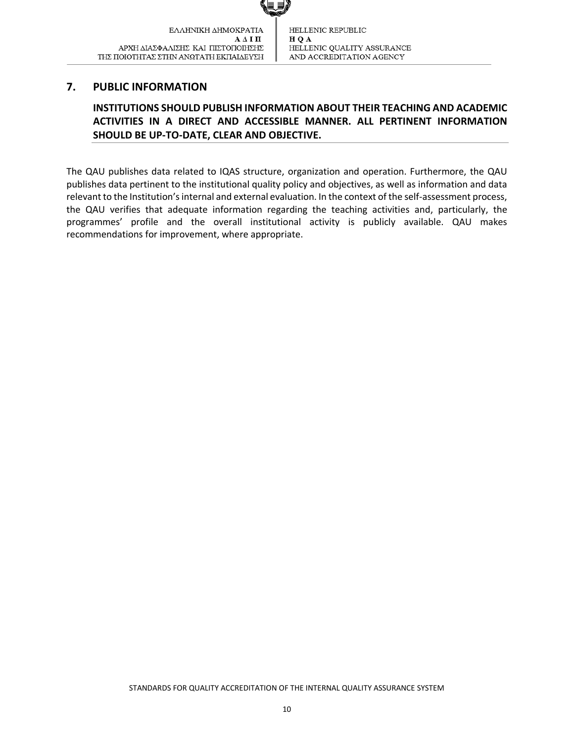#### <span id="page-9-0"></span>**7. PUBLIC INFORMATION**

## **INSTITUTIONS SHOULD PUBLISH INFORMATION ABOUT THEIR TEACHING AND ACADEMIC ACTIVITIES IN A DIRECT AND ACCESSIBLE MANNER. ALL PERTINENT INFORMATION SHOULD BE UP-TO-DATE, CLEAR AND OBJECTIVE.**

The QAU publishes data related to IQAS structure, organization and operation. Furthermore, the QAU publishes data pertinent to the institutional quality policy and objectives, as well as information and data relevant to the Institution'sinternal and external evaluation. In the context of the self-assessment process, the QAU verifies that adequate information regarding the teaching activities and, particularly, the programmes' profile and the overall institutional activity is publicly available. QAU makes recommendations for improvement, where appropriate.